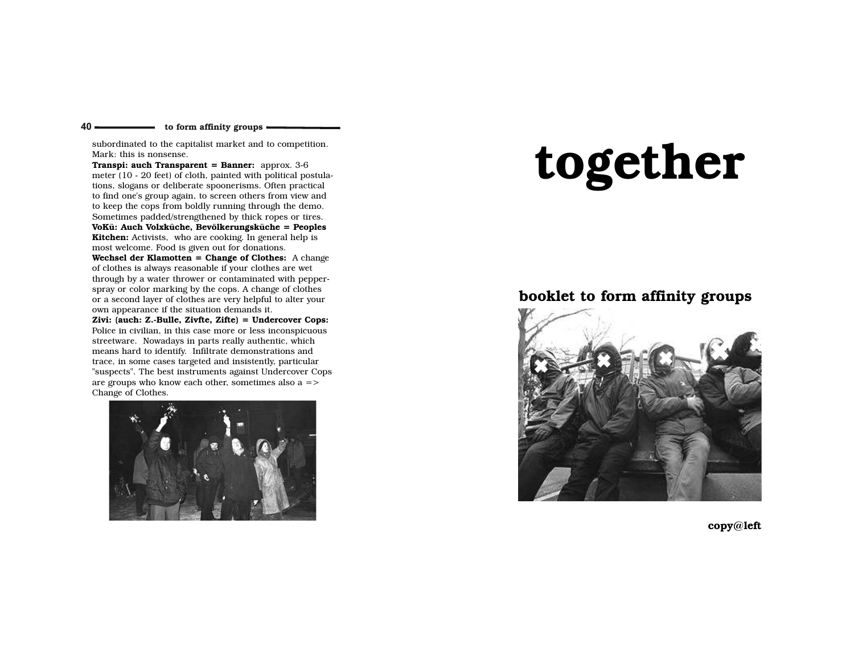$40 -$ 

subordinated to the capitalist market and to competition.Mark: this is nonsense.

Transpi: auch Transparent = Banner: approx. 3-6 meter (10 - 20 feet) of cloth, painted with political postulations, slogans or deliberate spoonerisms. Often practical to find one's group again, to screen others from view and to keep the cops from boldly running through the demo. Sometimes padded/strengthened by thick ropes or tires. VoKü: Auch Volxküche, Bevölkerungsküche = Peoples**Kitchen:** Activists, who are cooking. In general help is most welcome. Food is given out for donations.

Wechsel der Klamotten = Change of Clothes: A change of clothes is always reasonable if your clothes are wet through by a water thrower or contaminated with pepperspray or color marking by the cops. A change of clothes or a second layer of clothes are very helpful to alter yourown appearance if the situation demands it.

 Zivi: (auch: Z.-Bulle, Zivfte, Zifte) = Undercover Cops: Police in civilian, in this case more or less inconspicuousstreetware. Nowadays in parts really authentic, which means hard to identify. Infiltrate demonstrations and trace, in some cases targeted and insistently, particular "suspects". The best instruments against Undercover Copsare groups who know each other, sometimes also a =>Change of Clothes.



# together

# booklet to form affinity groups



copy@left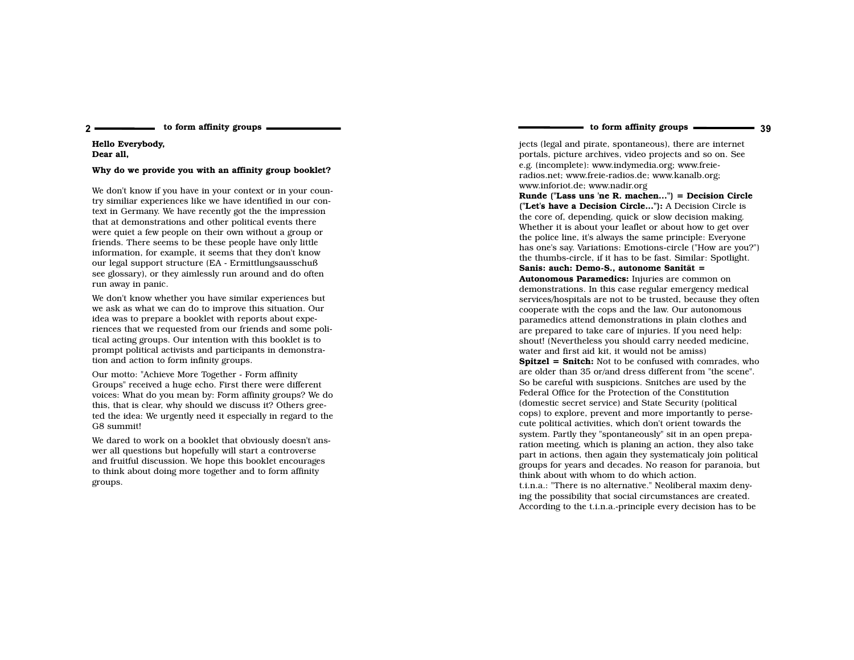Hello Everybody,Dear all,

2

#### Why do we provide you with an affinity group booklet?

We don't know if you have in your context or in your country similiar experiences like we have identified in our context in Germany. We have recently got the the impressionthat at demonstrations and other political events there were quiet a few people on their own without a group or friends. There seems to be these people have only little information, for example, it seems that they don't know our legal support structure (EA - Ermittlungsausschuß see glossary), or they aimlessly run around and do oftenrun away in panic.

We don't know whether you have similar experiences but we ask as what we can do to improve this situation. Ouridea was to prepare a booklet with reports about experiences that we requested from our friends and some political acting groups. Our intention with this booklet is to prompt political activists and participants in demonstration and action to form infinity groups.

Our motto: "Achieve More Together - Form affinity Groups" received a huge echo. First there were different voices: What do you mean by: Form affinity groups? We do this, that is clear, why should we discuss it? Others greeted the idea: We urgently need it especially in regard to theG8 summit!

We dared to work on a booklet that obviously doesn't answer all questions but hopefully will start a controverse and fruitful discussion. We hope this booklet encourages to think about doing more together and to form affinitygroups.

## to form affinity groups 39

jects (legal and pirate, spontaneous), there are internet portals, picture archives, video projects and so on. Seee.g. (incomplete): www.indymedia.org; www.freieradios.net; www.freie-radios.de; www.kanalb.org;www.inforiot.de; www.nadir.org

 Runde ("Lass uns 'ne R. machen...") = Decision Circle ("Let's have a Decision Circle..."): A Decision Circle is the core of, depending, quick or slow decision making. Whether it is about your leaflet or about how to get over the police line, it's always the same principle: Everyone has one's say. Variations: Emotions-circle ("How are you?")the thumbs-circle, if it has to be fast. Similar: Spotlight.Sanis: auch: Demo-S., autonome Sanität =

 Autonomous Paramedics: Injuries are common on demonstrations. In this case regular emergency medical services/hospitals are not to be trusted, because they oftencooperate with the cops and the law. Our autonomous paramedics attend demonstrations in plain clothes and are prepared to take care of injuries. If you need help: shout! (Nevertheless you should carry needed medicine,water and first aid kit, it would not be amiss)Spitzel = Snitch: Not to be confused with comrades, who are older than 35 or/and dress different from "the scene".So be careful with suspicions. Snitches are used by the

Federal Office for the Protection of the Constitution (domestic secret service) and State Security (political cops) to explore, prevent and more importantly to persecute political activities, which don't orient towards the system. Partly they "spontaneously" sit in an open preparation meeting, which is planing an action, they also take part in actions, then again they systematicaly join political groups for years and decades. No reason for paranoia, butthink about with whom to do which action.

 t.i.n.a.: "There is no alternative." Neoliberal maxim denying the possibility that social circumstances are created.According to the t.i.n.a.-principle every decision has to be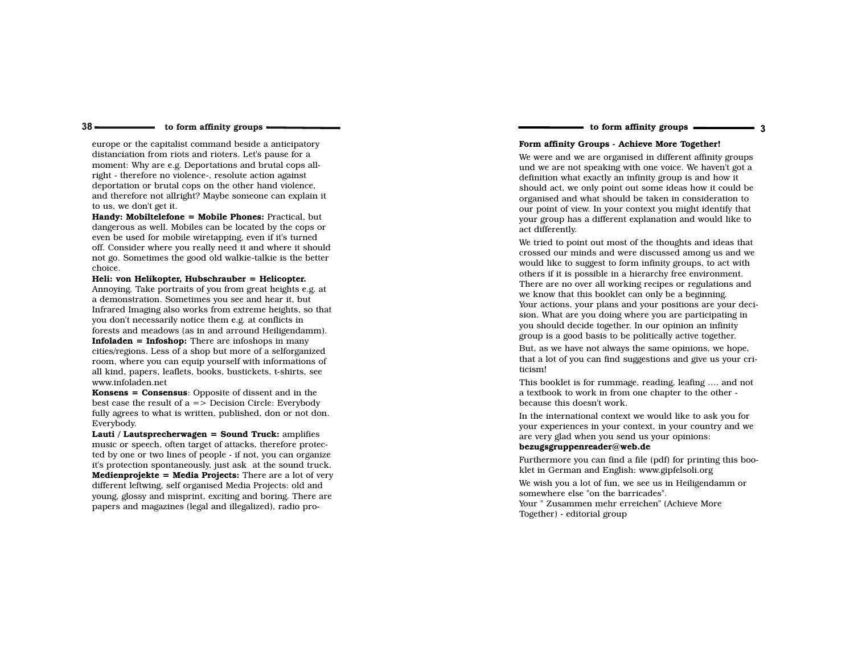#### to form affinity groups  $\frac{1}{\sqrt{3}}$  and  $\frac{1}{\sqrt{3}}$  and  $\frac{1}{\sqrt{3}}$  are  $\frac{1}{\sqrt{3}}$  and  $\frac{1}{\sqrt{3}}$  and  $\frac{1}{\sqrt{3}}$  are  $\frac{1}{\sqrt{3}}$  and  $\frac{1}{\sqrt{3}}$  are  $\frac{1}{\sqrt{3}}$  and  $\frac{1}{\sqrt{3}}$  are  $\frac{1}{\sqrt{3}}$  and  $\frac{1}{\sqrt{3$

 $38 -$ 

europe or the capitalist command beside a anticipatorydistanciation from riots and rioters. Let's pause for a moment: Why are e.g. Deportations and brutal cops allright - therefore no violence-, resolute action against deportation or brutal cops on the other hand violence, and therefore not allright? Maybe someone can explain itto us, we don't get it.

Handy: Mobiltelefone = Mobile Phones: Practical, but dangerous as well. Mobiles can be located by the cops oreven be used for mobile wiretapping, even if it's turned off. Consider where you really need it and where it should not go. Sometimes the good old walkie-talkie is the betterchoice.

 Heli: von Helikopter, Hubschrauber = Helicopter. Annoying. Take portraits of you from great heights e.g. ata demonstration. Sometimes you see and hear it, but Infrared Imaging also works from extreme heights, so thatyou don't necessarily notice them e.g. at conflicts in forests and meadows (as in and arround Heiligendamm).Infoladen = Infoshop: There are infoshops in many cities/regions. Less of a shop but more of a selforganized room, where you can equip yourself with informations of all kind, papers, leaflets, books, bustickets, t-shirts, seewww.infoladen.net

Konsens = Consensus: Opposite of dissent and in the best case the result of a => Decision Circle: Everybody fully agrees to what is written, published, don or not don.Everybody.

Lauti / Lautsprecherwagen = Sound Truck: amplifies music or speech, often target of attacks, therefore protec ted by one or two lines of people - if not, you can organize it's protection spontaneously, just ask at the sound truck.Medienprojekte = Media Projects: There are a lot of very different leftwing, self organised Media Projects: old and young, glossy and misprint, exciting and boring. There arepapers and magazines (legal and illegalized), radio proForm affinity Groups - Achieve More Together!

## We were and we are organised in different affinity groups und we are not speaking with one voice. We haven't got adefinition what exactly an infinity group is and how itshould act, we only point out some ideas how it could be

 organised and what should be taken in consideration to our point of view. In your context you might identify that your group has a different explanation and would like toact differently.

We tried to point out most of the thoughts and ideas that crossed our minds and were discussed among us and we would like to suggest to form infinity groups, to act with others if it is possible in a hierarchy free environment. There are no over all working recipes or regulations andwe know that this booklet can only be a beginning. Your actions, your plans and your positions are your decision. What are you doing where you are participating inyou should decide together. In our opinion an infinitygroup is a good basis to be politically active together.

But, as we have not always the same opinions, we hope, that a lot of you can find suggestions and give us your criticism!

This booklet is for rummage, reading, leafing …. and nota textbook to work in from one chapter to the other because this doesn't work.

In the international context we would like to ask you for your experiences in your context, in your country and weare very glad when you send us your opinions:

## bezugsgruppenreader@web.de

 Furthermore you can find a file (pdf) for printing this booklet in German and English: www.gipfelsoli.org

 We wish you a lot of fun, we see us in Heiligendamm orsomewhere else "on the barricades". Your " Zusammen mehr erreichen" (Achieve MoreTogether) - editorial group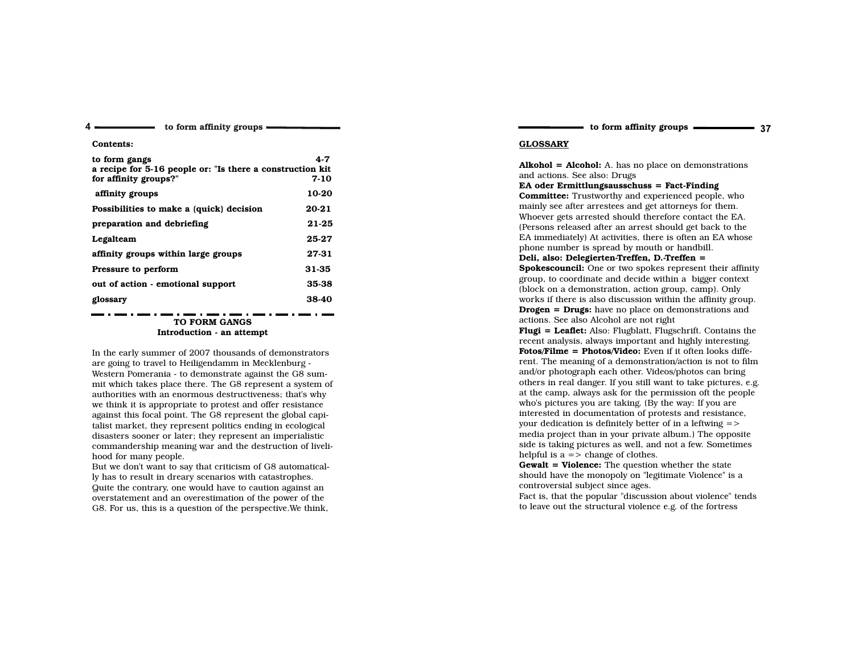Contents:

 $4 -$ 

| to form gangs                                             | 4.7   |
|-----------------------------------------------------------|-------|
| a recipe for 5-16 people or: "Is there a construction kit |       |
| for affinity groups?"                                     | 7-10  |
| affinity groups                                           | 10-20 |
| Possibilities to make a (quick) decision                  | 20-21 |
| preparation and debriefing                                | 21-25 |
| Legalteam                                                 | 25-27 |
| affinity groups within large groups                       | 27-31 |
| Pressure to perform                                       | 31-35 |
| out of action - emotional support                         | 35-38 |
| glossary                                                  | 38-40 |

## TO FORM GANGSIntroduction - an attempt

In the early summer of 2007 thousands of demonstratorsare going to travel to Heiligendamm in Mecklenburg - Western Pomerania - to demonstrate against the G8 summit which takes place there. The G8 represent a system ofauthorities with an enormous destructiveness; that's why we think it is appropriate to protest and offer resistance against this focal point. The G8 represent the global capitalist market, they represent politics ending in ecological disasters sooner or later; they represent an imperialistic commandership meaning war and the destruction of livelihood for many people.

 But we don't want to say that criticism of G8 automatically has to result in dreary scenarios with catastrophes. Quite the contrary, one would have to caution against an overstatement and an overestimation of the power of theG8. For us, this is a question of the perspective.We think,

to form affinity groups ———————————————————— 37

## GLOSSARY

 $Alkohol = Alcohol: A.$  has no place on demonstrations and actions. See also: Drugs

 EA oder Ermittlungsausschuss = Fact-Finding Committee: Trustworthy and experienced people, who mainly see after arrestees and get attorneys for them. Whoever gets arrested should therefore contact the EA. (Persons released after an arrest should get back to the EA immediately) At activities, there is often an EA whosephone number is spread by mouth or handbill.

#### Deli, also: Delegierten-Treffen, D.-Treffen =

**Spokescouncil:** One or two spokes represent their affinity group, to coordinate and decide within a bigger context(block on a demonstration, action group, camp). Only works if there is also discussion within the affinity group.Drogen = Drugs: have no place on demonstrations andactions. See also Alcohol are not right

 Flugi = Leaflet: Also: Flugblatt, Flugschrift. Contains the recent analysis, always important and highly interesting.Fotos/Filme = Photos/Video: Even if it often looks different. The meaning of a demonstration/action is not to filmand/or photograph each other. Videos/photos can bring others in real danger. If you still want to take pictures, e.g. at the camp, always ask for the permission oft the peoplewho's pictures you are taking. (By the way: If you are interested in documentation of protests and resistance,your dedication is definitely better of in a leftwing => media project than in your private album.) The opposite side is taking pictures as well, and not a few. Sometimeshelpful is  $a = \frac{1}{2}$  change of clothes.

Gewalt = Violence: The question whether the state should have the monopoly on "legitimate Violence" is acontroversial subject since ages.

 Fact is, that the popular "discussion about violence" tendsto leave out the structural violence e.g. of the fortress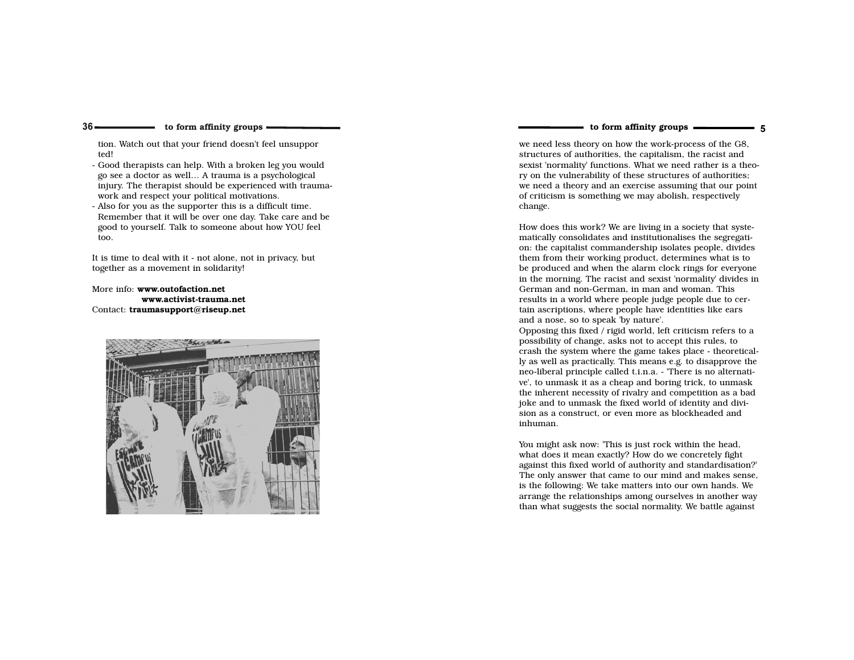$36 -$ 

tion. Watch out that your friend doesn't feel unsupported!

- Good therapists can help. With a broken leg you wouldgo see a doctor as well… A trauma is a psychological injury. The therapist should be experienced with traumawork and respect your political motivations.
- Also for you as the supporter this is a difficult time. Remember that it will be over one day. Take care and begood to yourself. Talk to someone about how YOU feeltoo.

It is time to deal with it - not alone, not in privacy, buttogether as a movement in solidarity!

More info: www.outofaction.net www.activist-trauma.netContact: traumasupport@riseup.net



## to form affinity groups ————————————————————

we need less theory on how the work-process of the G8,structures of authorities, the capitalism, the racist and sexist 'normality' functions. What we need rather is a theory on the vulnerability of these structures of authorities; we need a theory and an exercise assuming that our pointof criticism is something we may abolish, respectivelychange.

How does this work? We are living in a society that systematically consolidates and institutionalises the segregation: the capitalist commandership isolates people, divides them from their working product, determines what is to be produced and when the alarm clock rings for everyone in the morning. The racist and sexist 'normality' divides inGerman and non-German, in man and woman. This results in a world where people judge people due to certain ascriptions, where people have identities like earsand a nose, so to speak 'by nature'.

 Opposing this fixed / rigid world, left criticism refers to apossibility of change, asks not to accept this rules, to crash the system where the game takes place - theoretically as well as practically. This means e.g. to disapprove the neo-liberal principle called t.i.n.a. - 'There is no alternative', to unmask it as a cheap and boring trick, to unmask the inherent necessity of rivalry and competition as a bad joke and to unmask the fixed world of identity and division as a construct, or even more as blockheaded andinhuman.

You might ask now: 'This is just rock within the head, what does it mean exactly? How do we concretely fight against this fixed world of authority and standardisation?' The only answer that came to our mind and makes sense,is the following: We take matters into our own hands. We arrange the relationships among ourselves in another waythan what suggests the social normality. We battle against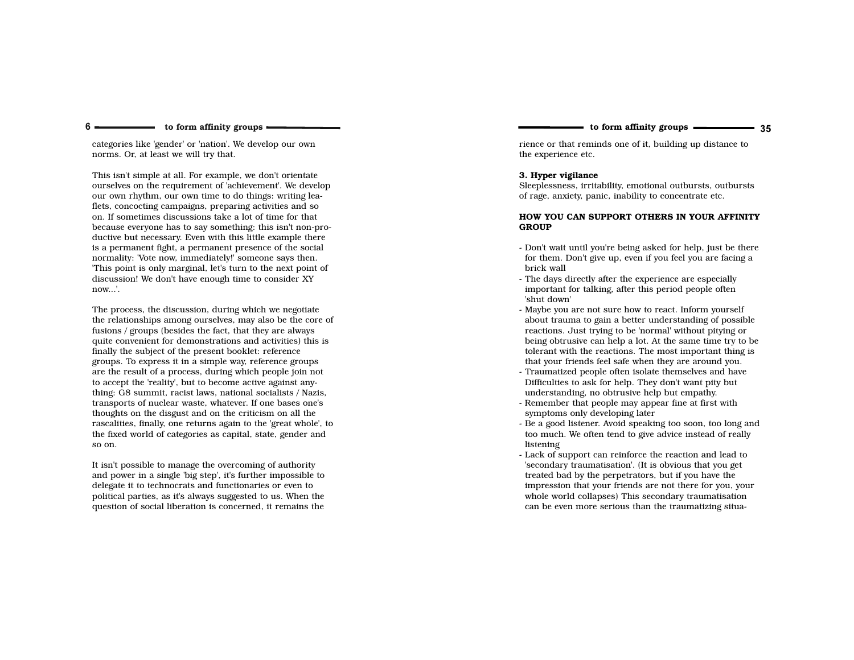categories like 'gender' or 'nation'. We develop our ownnorms. Or, at least we will try that.

 $6 -$ 

This isn't simple at all. For example, we don't orientate ourselves on the requirement of 'achievement'. We develop our own rhythm, our own time to do things: writing lea flets, concocting campaigns, preparing activities and so on. If sometimes discussions take a lot of time for that because everyone has to say something: this isn't non-productive but necessary. Even with this little example there is a permanent fight, a permanent presence of the socialnormality: 'Vote now, immediately!' someone says then. 'This point is only marginal, let's turn to the next point ofdiscussion! We don't have enough time to consider XYnow...'.

The process, the discussion, during which we negotiate the relationships among ourselves, may also be the core offusions / groups (besides the fact, that they are always quite convenient for demonstrations and activities) this is finally the subject of the present booklet: reference groups. To express it in a simple way, reference groups are the result of a process, during which people join notto accept the 'reality', but to become active against any thing: G8 summit, racist laws, national socialists / Nazis, transports of nuclear waste, whatever. If one bases one's thoughts on the disgust and on the criticism on all the rascalities, finally, one returns again to the 'great whole', to the fixed world of categories as capital, state, gender andso on.

It isn't possible to manage the overcoming of authority and power in a single 'big step', it's further impossible to delegate it to technocrats and functionaries or even to political parties, as it's always suggested to us. When thequestion of social liberation is concerned, it remains the

rience or that reminds one of it, building up distance tothe experience etc.

#### 3. Hyper vigilance

 Sleeplessness, irritability, emotional outbursts, outburstsof rage, anxiety, panic, inability to concentrate etc.

#### HOW YOU CAN SUPPORT OTHERS IN YOUR AFFINITYGROUP

- Don't wait until you're being asked for help, just be there for them. Don't give up, even if you feel you are facing a brick wall
- The days directly after the experience are especially important for talking, after this period people often 'shut down'
- Maybe you are not sure how to react. Inform yourself about trauma to gain a better understanding of possible reactions. Just trying to be 'normal' without pitying or being obtrusive can help a lot. At the same time try to be tolerant with the reactions. The most important thing is that your friends feel safe when they are around you.
- Traumatized people often isolate themselves and have Difficulties to ask for help. They don't want pity but understanding, no obtrusive help but empathy.
- Remember that people may appear fine at first with symptoms only developing later
- Be a good listener. Avoid speaking too soon, too long andtoo much. We often tend to give advice instead of reallylistening
- Lack of support can reinforce the reaction and lead to 'secondary traumatisation'. (It is obvious that you get treated bad by the perpetrators, but if you have the impression that your friends are not there for you, yourwhole world collapses) This secondary traumatisation can be even more serious than the traumatizing situa-

to form affinity groups ———————————————————— 35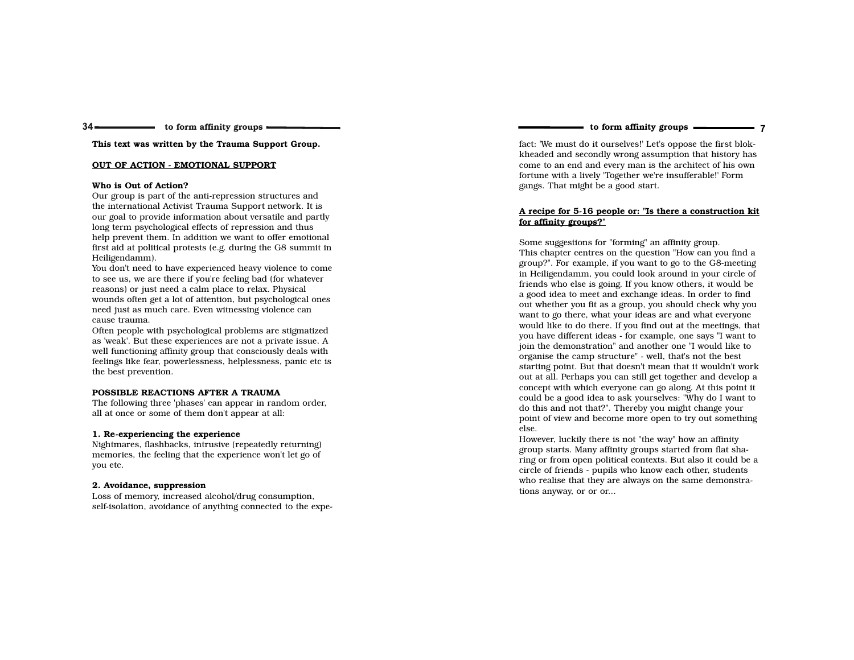#### $34 \longrightarrow$  $\longrightarrow$  to form affinity groups  $\equiv$

This text was written by the Trauma Support Group.

#### OUT OF ACTION - EMOTIONAL SUPPORT

#### Who is Out of Action?

 Our group is part of the anti-repression structures and the international Activist Trauma Support network. It is our goal to provide information about versatile and partlylong term psychological effects of repression and thus help prevent them. In addition we want to offer emotional first aid at political protests (e.g. during the G8 summit inHeiligendamm).

 You don't need to have experienced heavy violence to cometo see us, we are there if you're feeling bad (for whateverreasons) or just need a calm place to relax. Physical wounds often get a lot of attention, but psychological onesneed just as much care. Even witnessing violence cancause trauma.

 Often people with psychological problems are stigmatized as 'weak'. But these experiences are not a private issue. A well functioning affinity group that consciously deals with feelings like fear, powerlessness, helplessness, panic etc isthe best prevention.

#### POSSIBLE REACTIONS AFTER A TRAUMA

 The following three 'phases' can appear in random order,all at once or some of them don't appear at all:

#### 1. Re-experiencing the experience

 Nightmares, flashbacks, intrusive (repeatedly returning) memories, the feeling that the experience won't let go ofyou etc.

#### 2. Avoidance, suppression

 Loss of memory, increased alcohol/drug consumption,self-isolation, avoidance of anything connected to the expeto form affinity groups 7

fact: 'We must do it ourselves!' Let's oppose the first blokkheaded and secondly wrong assumption that history has come to an end and every man is the architect of his ownfortune with a lively 'Together we're insufferable!' Formgangs. That might be a good start.

#### A recipe for 5-16 people or: "Is there a construction kitfor affinity groups?"

Some suggestions for "forming" an affinity group. This chapter centres on the question "How can you find a group?". For example, if you want to go to the G8-meeting in Heiligendamm, you could look around in your circle of friends who else is going. If you know others, it would be a good idea to meet and exchange ideas. In order to find out whether you fit as a group, you should check why you want to go there, what your ideas are and what everyone would like to do there. If you find out at the meetings, that you have different ideas - for example, one says "I want to join the demonstration" and another one "I would like toorganise the camp structure" - well, that's not the best starting point. But that doesn't mean that it wouldn't work out at all. Perhaps you can still get together and develop a concept with which everyone can go along. At this point it could be a good idea to ask yourselves: "Why do I want todo this and not that?". Thereby you might change your point of view and become more open to try out somethingelse.

 However, luckily there is not "the way" how an affinity group starts. Many affinity groups started from flat sharing or from open political contexts. But also it could be acircle of friends - pupils who know each other, students who realise that they are always on the same demonstrations anyway, or or or...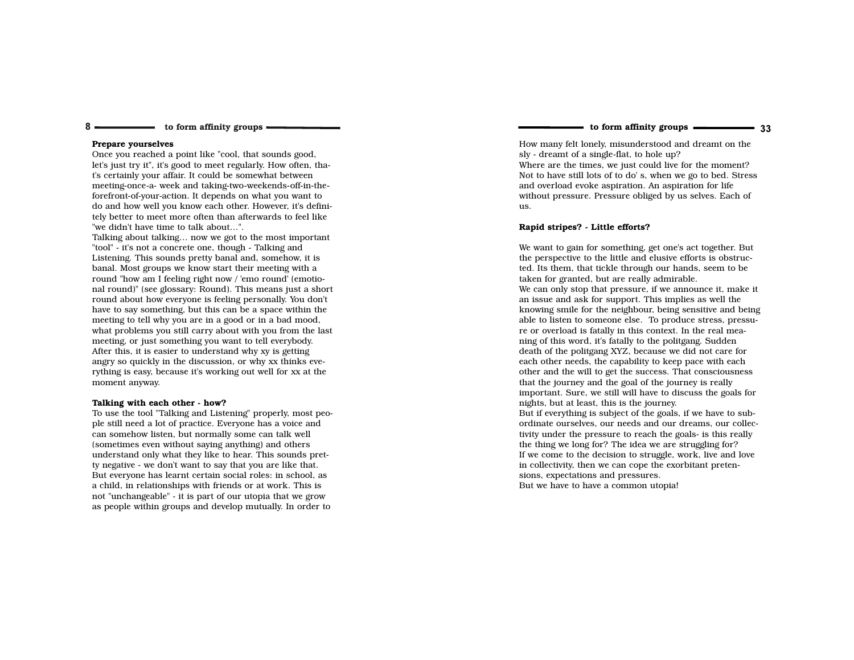#### Prepare yourselves

8

 Once you reached a point like "cool, that sounds good, let's just try it", it's good to meet regularly. How often, that's certainly your affair. It could be somewhat between meeting-once-a- week and taking-two-weekends-off-in-theforefront-of-your-action. It depends on what you want to do and how well you know each other. However, it's definitely better to meet more often than afterwards to feel like"we didn't have time to talk about…".

 Talking about talking… now we got to the most important"tool" - it's not a concrete one, though - Talking and Listening. This sounds pretty banal and, somehow, it is banal. Most groups we know start their meeting with a round "how am I feeling right now / 'emo round' (emotional round)" (see glossary: Round). This means just a short round about how everyone is feeling personally. You don't have to say something, but this can be a space within themeeting to tell why you are in a good or in a bad mood, what problems you still carry about with you from the lastmeeting, or just something you want to tell everybody. After this, it is easier to understand why xy is getting angry so quickly in the discussion, or why xx thinks everything is easy, because it's working out well for xx at themoment anyway.

#### Talking with each other - how?

 To use the tool "Talking and Listening" properly, most people still need a lot of practice. Everyone has a voice and can somehow listen, but normally some can talk well (sometimes even without saying anything) and others understand only what they like to hear. This sounds pretty negative - we don't want to say that you are like that. But everyone has learnt certain social roles: in school, as a child, in relationships with friends or at work. This is not "unchangeable" - it is part of our utopia that we growas people within groups and develop mutually. In order to

to form affinity groups ———————————————————— 33

How many felt lonely, misunderstood and dreamt on thesly - dreamt of a single-flat, to hole up? Where are the times, we just could live for the moment? Not to have still lots of to do' s, when we go to bed. Stressand overload evoke aspiration. An aspiration for life without pressure. Pressure obliged by us selves. Each ofus.

#### Rapid stripes? - Little efforts?

We want to gain for something, get one's act together. But the perspective to the little and elusive efforts is obstructed. Its them, that tickle through our hands, seem to betaken for granted, but are really admirable. We can only stop that pressure, if we announce it, make itan issue and ask for support. This implies as well the knowing smile for the neighbour, being sensitive and being able to listen to someone else. To produce stress, pressure or overload is fatally in this context. In the real meaning of this word, it's fatally to the politgang. Sudden death of the politgang XYZ, because we did not care for each other needs, the capability to keep pace with each other and the will to get the success. That consciousnessthat the journey and the goal of the journey is really important. Sure, we still will have to discuss the goals fornights, but at least, this is the journey. But if everything is subject of the goals, if we have to subordinate ourselves, our needs and our dreams, our collectivity under the pressure to reach the goals- is this reallythe thing we long for? The idea we are struggling for? If we come to the decision to struggle, work, live and lovein collectivity, then we can cope the exorbitant pretensions, expectations and pressures.But we have to have a common utopia!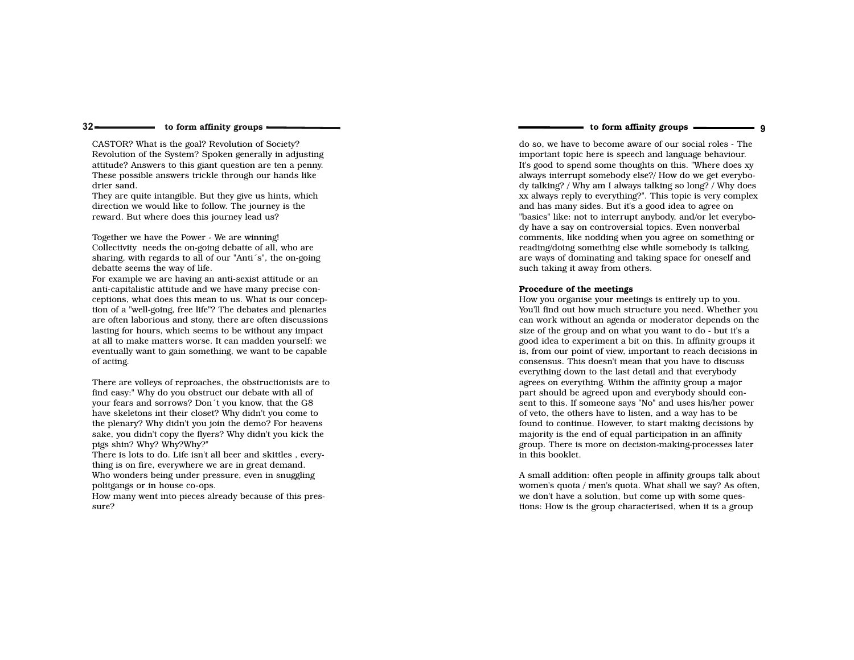CASTOR? What is the goal? Revolution of Society? Revolution of the System? Spoken generally in adjusting attitude? Answers to this giant question are ten a penny.These possible answers trickle through our hands likedrier sand.

 They are quite intangible. But they give us hints, whichdirection we would like to follow. The journey is thereward. But where does this journey lead us?

Together we have the Power - We are winning! Collectivity needs the on-going debatte of all, who are sharing, with regards to all of our "Anti´s", the on-goingdebatte seems the way of life.

 For example we are having an anti-sexist attitude or an anti-capitalistic attitude and we have many precise conceptions, what does this mean to us. What is our conception of a "well-going, free life"? The debates and plenaries are often laborious and stony, there are often discussions lasting for hours, which seems to be without any impact at all to make matters worse. It can madden yourself: we eventually want to gain something, we want to be capableof acting.

There are volleys of reproaches, the obstructionists are tofind easy:" Why do you obstruct our debate with all of your fears and sorrows? Don´t you know, that the G8 have skeletons int their closet? Why didn't you come to the plenary? Why didn't you join the demo? For heavens sake, you didn't copy the flyers? Why didn't you kick thepigs shin? Why? Why?Why?"

 There is lots to do. Life isn't all beer and skittles , everything is on fire, everywhere we are in great demand. Who wonders being under pressure, even in snugglingpolitgangs or in house co-ops.

 How many went into pieces already because of this pressure?

to form affinity groups 9

do so, we have to become aware of our social roles - The important topic here is speech and language behaviour. It's good to spend some thoughts on this. "Where does xy always interrupt somebody else?/ How do we get everybody talking? / Why am I always talking so long? / Why does xx always reply to everything?". This topic is very complexand has many sides. But it's a good idea to agree on "basics" like: not to interrupt anybody, and/or let everybody have a say on controversial topics. Even nonverbal comments, like nodding when you agree on something or reading/doing something else while somebody is talking, are ways of dominating and taking space for oneself andsuch taking it away from others.

#### Procedure of the meetings

 How you organise your meetings is entirely up to you. You'll find out how much structure you need. Whether you can work without an agenda or moderator depends on thesize of the group and on what you want to do - but it's a good idea to experiment a bit on this. In affinity groups it is, from our point of view, important to reach decisions inconsensus. This doesn't mean that you have to discusseverything down to the last detail and that everybody agrees on everything. Within the affinity group a major part should be agreed upon and everybody should consent to this. If someone says "No" and uses his/her powerof veto, the others have to listen, and a way has to be found to continue. However, to start making decisions bymajority is the end of equal participation in an affinity group. There is more on decision-making-processes laterin this booklet.

A small addition: often people in affinity groups talk about women's quota / men's quota. What shall we say? As often,we don't have a solution, but come up with some questions: How is the group characterised, when it is a group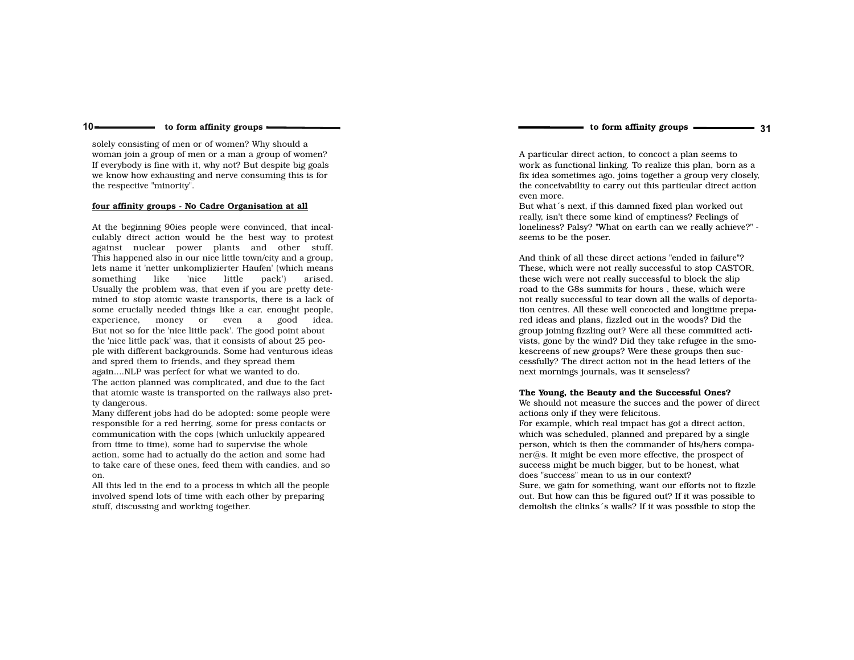to form affinity groups

solely consisting of men or of women? Why should a woman join a group of men or a man a group of women? If everybody is fine with it, why not? But despite big goals we know how exhausting and nerve consuming this is forthe respective "minority".

#### four affinity groups - No Cadre Organisation at all

 $10 -$ 

At the beginning 90ies people were convinced, that incalculably direct action would be the best way to protest against nuclear power plants and other stuff. This happened also in our nice little town/city and a group, lets name it 'netter unkomplizierter Haufen' (which meansarised. something like 'nice little pack') Usually the problem was, that even if you are pretty dete mined to stop atomic waste transports, there is a lack of some crucially needed things like a car, enought people, experience, money or even a good idea.But not so for the 'nice little pack'. The good point about the 'nice little pack' was, that it consists of about 25 people with different backgrounds. Some had venturous ideasand spred them to friends, and they spread them again....NLP was perfect for what we wanted to do. The action planned was complicated, and due to the fact that atomic waste is transported on the railways also pretty dangerous.

 Many different jobs had do be adopted: some people were responsible for a red herring, some for press contacts or communication with the cops (which unluckily appearedfrom time to time), some had to supervise the whole action, some had to actually do the action and some had to take care of these ones, feed them with candies, and soon.

 All this led in the end to a process in which all the people involved spend lots of time with each other by preparingstuff, discussing and working together.

A particular direct action, to concoct a plan seems to work as functional linking. To realize this plan, born as a fix idea sometimes ago, joins together a group very closely, the conceivability to carry out this particular direct actioneven more.

 But what´s next, if this damned fixed plan worked out really, isn't there some kind of emptiness? Feelings of loneliness? Palsy? "What on earth can we really achieve?" seems to be the poser.

And think of all these direct actions "ended in failure"? These, which were not really successful to stop CASTOR,these wich were not really successful to block the slip road to the G8s summits for hours , these, which were not really successful to tear down all the walls of deportation centres. All these well concocted and longtime prepared ideas and plans, fizzled out in the woods? Did the group joining fizzling out? Were all these committed activists, gone by the wind? Did they take refugee in the smokescreens of new groups? Were these groups then suc cessfully? The direct action not in the head letters of thenext mornings journals, was it senseless?

#### The Young, the Beauty and the Successful Ones?

 We should not measure the succes and the power of directactions only if they were felicitous. For example, which real impact has got a direct action, which was scheduled, planned and prepared by a single person, which is then the commander of his/hers compa $ner@s.$  It might be even more effective, the prospect of success might be much bigger, but to be honest, whatdoes "success" mean to us in our context? Sure, we gain for something, want our efforts not to fizzleout. But how can this be figured out? If it was possible to

demolish the clinks´s walls? If it was possible to stop the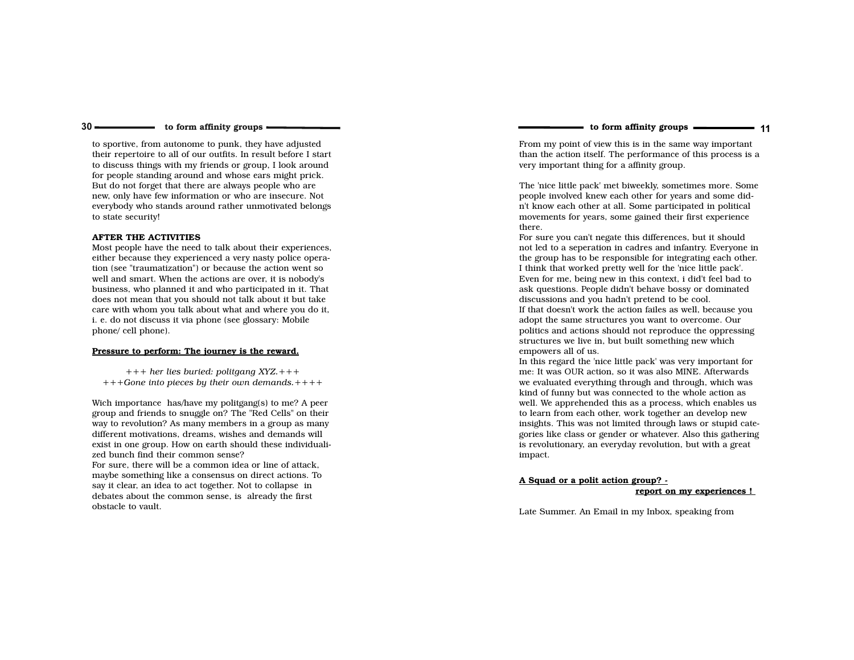to form affinity groups ———————————————————— 11

- to form affinity groups -

to sportive, from autonome to punk, they have adjusted their repertoire to all of our outfits. In result before I start to discuss things with my friends or group, I look around for people standing around and whose ears might prick.But do not forget that there are always people who are new, only have few information or who are insecure. Not everybody who stands around rather unmotivated belongsto state security!

#### AFTER THE ACTIVITIES

 Most people have the need to talk about their experiences, either because they experienced a very nasty police operation (see "traumatization") or because the action went so well and smart. When the actions are over, it is nobody's business, who planned it and who participated in it. That does not mean that you should not talk about it but take care with whom you talk about what and where you do it,i. e. do not discuss it via phone (see glossary: Mobilephone/ cell phone).

#### Pressure to perform: The journey is the reward.

+++ her lies buried: politgang XYZ.+++ +++Gone into pieces by their own demands.++++

Wich importance has/have my politgang(s) to me? A peer group and friends to snuggle on? The "Red Cells" on their way to revolution? As many members in a group as many different motivations, dreams, wishes and demands will exist in one group. How on earth should these individualized bunch find their common sense?

 For sure, there will be a common idea or line of attack, maybe something like a consensus on direct actions. Tosay it clear, an idea to act together. Not to collapse in debates about the common sense, is already the firstobstacle to vault.

From my point of view this is in the same way important than the action itself. The performance of this process is avery important thing for a affinity group.

The 'nice little pack' met biweekly, sometimes more. Some people involved knew each other for years and some didn't know each other at all. Some participated in political movements for years, some gained their first experiencethere.

 For sure you can't negate this differences, but it should not led to a seperation in cadres and infantry. Everyone in the group has to be responsible for integrating each other. I think that worked pretty well for the 'nice little pack'. Even for me, being new in this context, i did't feel bad to ask questions. People didn't behave bossy or dominateddiscussions and you hadn't pretend to be cool.

 If that doesn't work the action failes as well, because youadopt the same structures you want to overcome. Our politics and actions should not reproduce the oppressingstructures we live in, but built something new whichempowers all of us.

 In this regard the 'nice little pack' was very important for me: It was OUR action, so it was also MINE. Afterwards we evaluated everything through and through, which waskind of funny but was connected to the whole action as well. We apprehended this as a process, which enables usto learn from each other, work together an develop new insights. This was not limited through laws or stupid categories like class or gender or whatever. Also this gatheringis revolutionary, an everyday revolution, but with a greatimpact.

## A Squad or a polit action group? -

report on my experiences !

Late Summer. An Email in my Inbox, speaking from

 $30 \longrightarrow$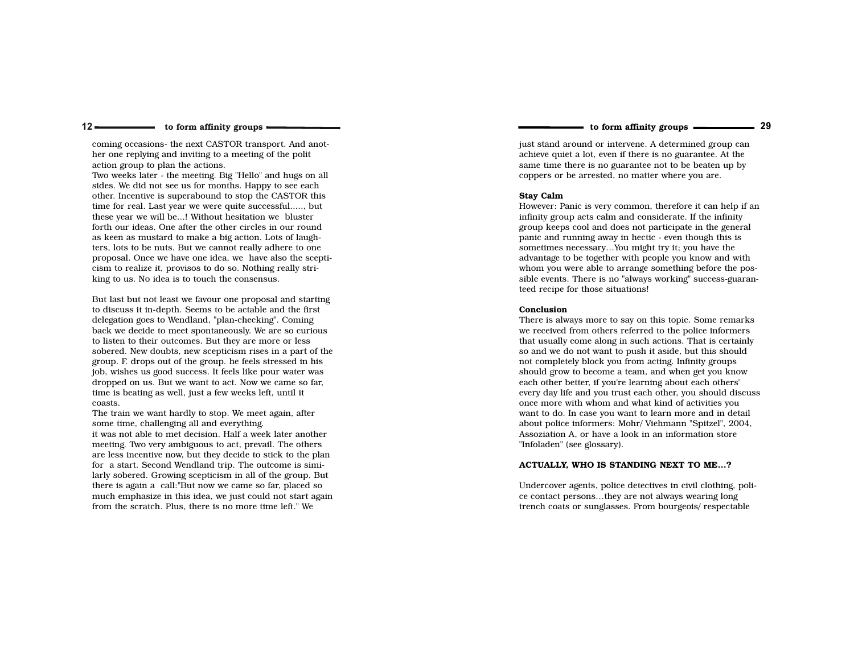$12 \longrightarrow$ 

coming occasions- the next CASTOR transport. And another one replying and inviting to a meeting of the politaction group to plan the actions.

 Two weeks later - the meeting. Big "Hello" and hugs on allsides. We did not see us for months. Happy to see each other. Incentive is superabound to stop the CASTOR this time for real. Last year we were quite successful....., butthese year we will be...! Without hesitation we bluster forth our ideas. One after the other circles in our round as keen as mustard to make a big action. Lots of laughters, lots to be nuts. But we cannot really adhere to one proposal. Once we have one idea, we have also the scepticism to realize it, provisos to do so. Nothing really striking to us. No idea is to touch the consensus.

But last but not least we favour one proposal and startingto discuss it in-depth. Seems to be actable and the firstdelegation goes to Wendland, "plan-checking". Coming back we decide to meet spontaneously. We are so curiousto listen to their outcomes. But they are more or less sobered. New doubts, new scepticism rises in a part of thegroup. F. drops out of the group. he feels stressed in his job, wishes us good success. It feels like pour water was dropped on us. But we want to act. Now we came so far,time is beating as well, just a few weeks left, until itcoasts.

 The train we want hardly to stop. We meet again, aftersome time, challenging all and everything. it was not able to met decision. Half a week later another meeting. Two very ambiguous to act, prevail. The others are less incentive now, but they decide to stick to the plan for a start. Second Wendland trip. The outcome is similarly sobered. Growing scepticism in all of the group. Butthere is again a call:"But now we came so far, placed so much emphasize in this idea, we just could not start againfrom the scratch. Plus, there is no more time left." We

to form affinity groups <sup>29</sup>

just stand around or intervene. A determined group can achieve quiet a lot, even if there is no guarantee. At the same time there is no guarantee not to be beaten up bycoppers or be arrested, no matter where you are.

#### Stay Calm

 However: Panic is very common, therefore it can help if aninfinity group acts calm and considerate. If the infinity group keeps cool and does not participate in the generalpanic and running away in hectic - even though this is sometimes necessary…You might try it; you have the advantage to be together with people you know and with whom you were able to arrange something before the possible events. There is no "always working" success-guaranteed recipe for those situations!

#### Conclusion

 There is always more to say on this topic. Some remarks we received from others referred to the police informers that usually come along in such actions. That is certainly so and we do not want to push it aside, but this shouldnot completely block you from acting. Infinity groups should grow to become a team, and when get you knoweach other better, if you're learning about each others' every day life and you trust each other, you should discussonce more with whom and what kind of activities you want to do. In case you want to learn more and in detail about police informers: Mohr/ Viehmann "Spitzel", 2004,Assoziation A, or have a look in an information store"Infoladen" (see glossary).

#### ACTUALLY, WHO IS STANDING NEXT TO ME…?

Undercover agents, police detectives in civil clothing, police contact persons…they are not always wearing longtrench coats or sunglasses. From bourgeois/ respectable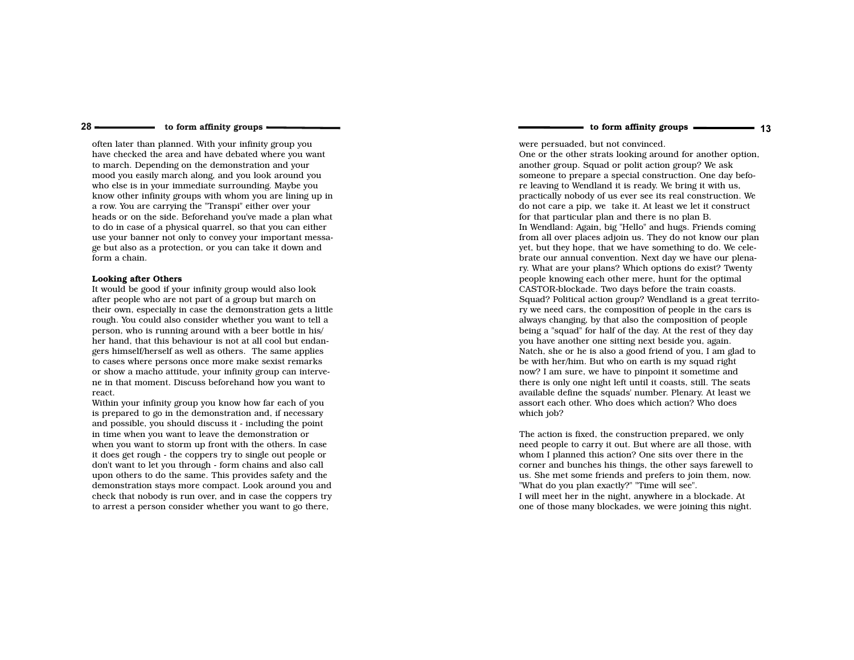often later than planned. With your infinity group you have checked the area and have debated where you wantto march. Depending on the demonstration and your mood you easily march along, and you look around you who else is in your immediate surrounding. Maybe you know other infinity groups with whom you are lining up ina row. You are carrying the "Transpi" either over your heads or on the side. Beforehand you've made a plan whatto do in case of a physical quarrel, so that you can either use your banner not only to convey your important message but also as a protection, or you can take it down andform a chain.

#### Looking after Others

 $28 -$ 

 It would be good if your infinity group would also look after people who are not part of a group but march on their own, especially in case the demonstration gets a little rough. You could also consider whether you want to tell a person, who is running around with a beer bottle in his/ her hand, that this behaviour is not at all cool but endangers himself/herself as well as others. The same applies to cases where persons once more make sexist remarks or show a macho attitude, your infinity group can intervene in that moment. Discuss beforehand how you want toreact.

 Within your infinity group you know how far each of you is prepared to go in the demonstration and, if necessary and possible, you should discuss it - including the pointin time when you want to leave the demonstration or when you want to storm up front with the others. In case it does get rough - the coppers try to single out people or don't want to let you through - form chains and also call upon others to do the same. This provides safety and the demonstration stays more compact. Look around you and check that nobody is run over, and in case the coppers tryto arrest a person consider whether you want to go there,

to form affinity groups ———————————————————— 13

were persuaded, but not convinced. One or the other strats looking around for another option,another group. Squad or polit action group? We ask someone to prepare a special construction. One day before leaving to Wendland it is ready. We bring it with us, practically nobody of us ever see its real construction. We do not care a pip, we take it. At least we let it constructfor that particular plan and there is no plan B. In Wendland: Again, big "Hello" and hugs. Friends coming from all over places adjoin us. They do not know our plan yet, but they hope, that we have something to do. We celebrate our annual convention. Next day we have our plenary. What are your plans? Which options do exist? Twentypeople knowing each other mere, hunt for the optimalCASTOR-blockade. Two days before the train coasts. Squad? Political action group? Wendland is a great territory we need cars, the composition of people in the cars is always changing, by that also the composition of people being a "squad" for half of the day. At the rest of they dayyou have another one sitting next beside you, again. Natch, she or he is also a good friend of you, I am glad tobe with her/him. But who on earth is my squad right now? I am sure, we have to pinpoint it sometime and there is only one night left until it coasts, still. The seats available define the squads' number. Plenary. At least weassort each other. Who does which action? Who doeswhich job?

The action is fixed, the construction prepared, we only need people to carry it out. But where are all those, withwhom I planned this action? One sits over there in the corner and bunches his things, the other says farewell to us. She met some friends and prefers to join them, now."What do you plan exactly?" "Time will see". I will meet her in the night, anywhere in a blockade. Atone of those many blockades, we were joining this night.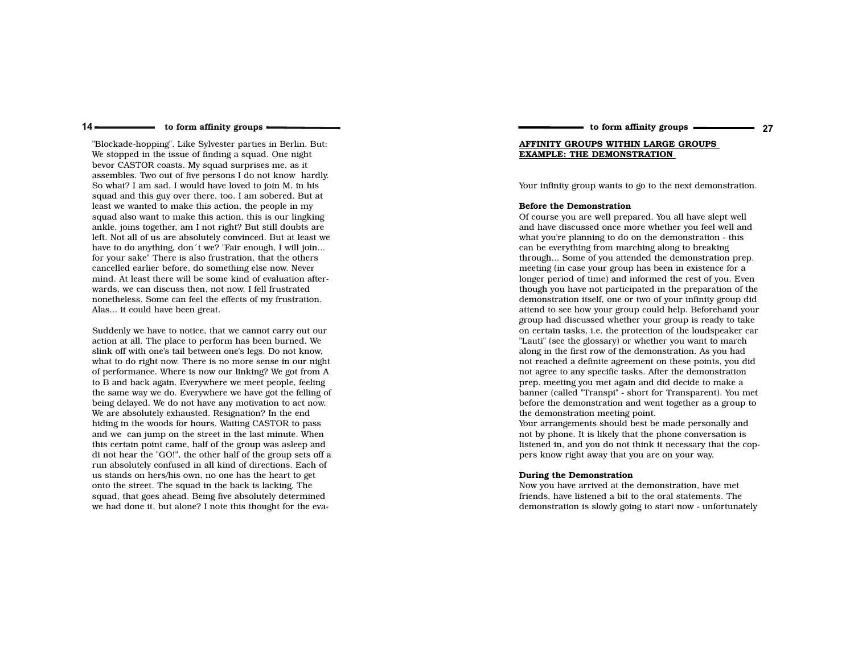"Blockade-hopping". Like Sylvester parties in Berlin. But:We stopped in the issue of finding a squad. One night bevor CASTOR coasts. My squad surprises me, as it assembles. Two out of five persons I do not know hardly.So what? I am sad, I would have loved to join M. in his squad and this guy over there, too. I am sobered. But atleast we wanted to make this action, the people in my squad also want to make this action, this is our lingking ankle, joins together, am I not right? But still doubts are left. Not all of us are absolutely convinced. But at least we have to do anything, don´t we? "Fair enough, I will join...for your sake" There is also frustration, that the others cancelled earlier before, do something else now. Never mind. At least there will be some kind of evaluation afterwards, we can discuss then, not now. I fell frustrated nonetheless. Some can feel the effects of my frustration.Alas... it could have been great.

Suddenly we have to notice, that we cannot carry out our action at all. The place to perform has been burned. We slink off with one's tail between one's legs. Do not know, what to do right now. There is no more sense in our night of performance. Where is now our linking? We got from A to B and back again. Everywhere we meet people, feeling the same way we do. Everywhere we have got the felling ofbeing delayed. We do not have any motivation to act now.We are absolutely exhausted. Resignation? In the end hiding in the woods for hours. Waiting CASTOR to pass and we can jump on the street in the last minute. When this certain point came, half of the group was asleep and di not hear the "GO!", the other half of the group sets off a run absolutely confused in all kind of directions. Each ofus stands on hers/his own, no one has the heart to get onto the street. The squad in the back is lacking. The squad, that goes ahead. Being five absolutely determinedwe had done it, but alone? I note this thought for the evato form affinity groups ———————————————————— 27

## AFFINITY GROUPS WITHIN LARGE GROUPS EXAMPLE: THE DEMONSTRATION

Your infinity group wants to go to the next demonstration.

#### Before the Demonstration

 Of course you are well prepared. You all have slept well and have discussed once more whether you feel well andwhat you're planning to do on the demonstration - thiscan be everything from marching along to breaking through... Some of you attended the demonstration prep.meeting (in case your group has been in existence for a longer period of time) and informed the rest of you. Even though you have not participated in the preparation of the demonstration itself, one or two of your infinity group did attend to see how your group could help. Beforehand your group had discussed whether your group is ready to take on certain tasks, i.e. the protection of the loudspeaker car"Lauti" (see the glossary) or whether you want to march along in the first row of the demonstration. As you had not reached a definite agreement on these points, you didnot agree to any specific tasks. After the demonstration prep. meeting you met again and did decide to make a banner (called "Transpi" - short for Transparent). You met before the demonstration and went together as a group tothe demonstration meeting point.

 Your arrangements should best be made personally and not by phone. It is likely that the phone conversation is listened in, and you do not think it necessary that the coppers know right away that you are on your way.

#### During the Demonstration

 Now you have arrived at the demonstration, have met friends, have listened a bit to the oral statements. Thedemonstration is slowly going to start now - unfortunately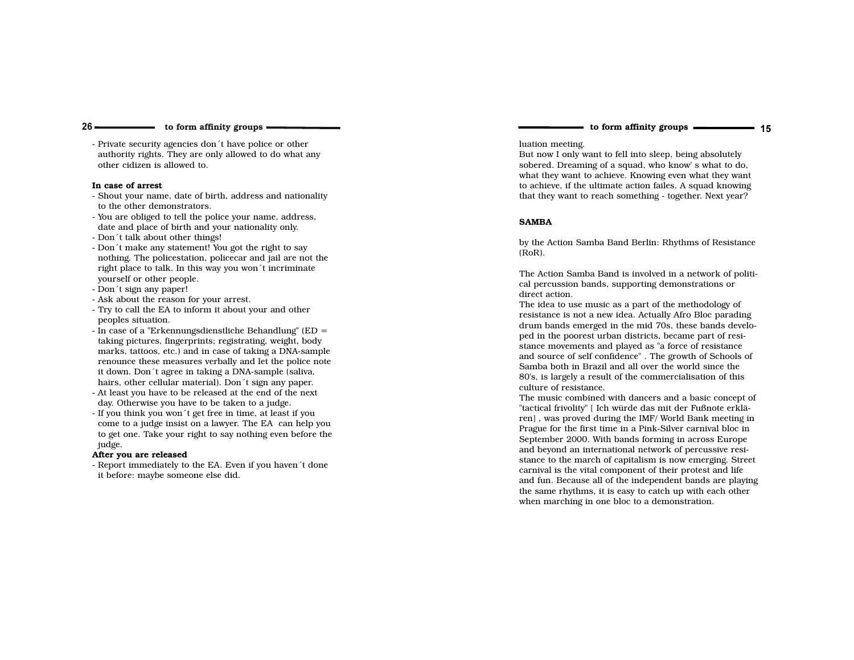- Private security agencies don´t have police or other authority rights. They are only allowed to do what any other cidizen is allowed to.

#### In case of arrest

- Shout your name, date of birth, address and nationality to the other demonstrators.
- You are obliged to tell the police your name, address, date and place of birth and your nationality only.
- Don´t talk about other things!
- Don´t make any statement! You got the right to say nothing. The policestation, policecar and jail are not the right place to talk. In this way you won´t incriminate yourself or other people.
- Don´t sign any paper!
- Ask about the reason for your arrest.
- Try to call the EA to inform it about your and otherpeoples situation.
- In case of a "Erkennungsdienstliche Behandlung" (ED = taking pictures, fingerprints; registrating, weight, body marks, tattoos, etc.) and in case of taking a DNA-sample renounce these measures verbally and let the police noteit down. Don´t agree in taking a DNA-sample (saliva, hairs, other cellular material). Don´t sign any paper.
- At least you have to be released at the end of the next day. Otherwise you have to be taken to a judge.
- If you think you won´t get free in time, at least if you come to a judge insist on a lawyer. The EA can help you to get one. Take your right to say nothing even before thejudge.

#### After you are released

 - Report immediately to the EA. Even if you haven´t done it before: maybe someone else did.

#### luation meeting.

 But now I only want to fell into sleep, being absolutely sobered. Dreaming of a squad, who know' s what to do, what they want to achieve. Knowing even what they want to achieve, if the ultimate action failes. A squad knowingthat they want to reach something - together. Next year?

#### SAMBA

by the Action Samba Band Berlin: Rhythms of Resistance(RoR).

The Action Samba Band is involved in a network of political percussion bands, supporting demonstrations ordirect action.

 The idea to use music as a part of the methodology of resistance is not a new idea. Actually Afro Bloc parading drum bands emerged in the mid 70s, these bands developed in the poorest urban districts, became part of resistance movements and played as "a force of resistance and source of self confidence" . The growth of Schools ofSamba both in Brazil and all over the world since the 80's, is largely a result of the commercialisation of thisculture of resistance.

 The music combined with dancers and a basic concept of"tactical frivolity" [ Ich würde das mit der Fußnote erklären] , was proved during the IMF/ World Bank meeting in Prague for the first time in a Pink-Silver carnival bloc in September 2000. With bands forming in across Europe and beyond an international network of percussive resistance to the march of capitalism is now emerging. Streetcarnival is the vital component of their protest and life and fun. Because all of the independent bands are playingthe same rhythms, it is easy to catch up with each otherwhen marching in one bloc to a demonstration.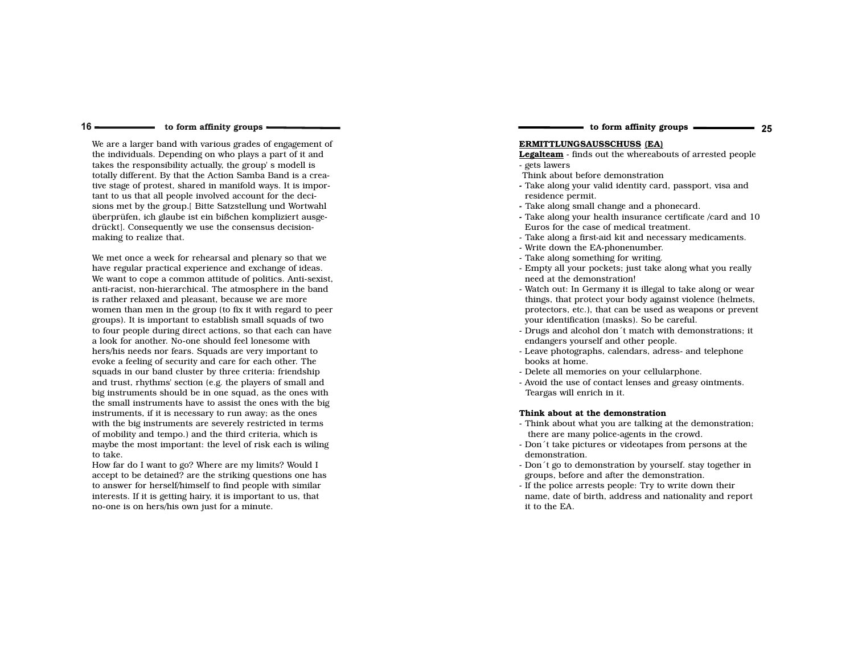$16 \rightleftharpoons$ 

We are a larger band with various grades of engagement ofthe individuals. Depending on who plays a part of it and takes the responsibility actually, the group' s modell is totally different. By that the Action Samba Band is a creative stage of protest, shared in manifold ways. It is important to us that all people involved account for the decisions met by the group.[ Bitte Satzstellung und Wortwahl überprüfen, ich glaube ist ein bißchen kompliziert ausgedrückt]. Consequently we use the consensus decisionmaking to realize that.

We met once a week for rehearsal and plenary so that we have regular practical experience and exchange of ideas. We want to cope a common attitude of politics. Anti-sexist, anti-racist, non-hierarchical. The atmosphere in the bandis rather relaxed and pleasant, because we are more women than men in the group (to fix it with regard to peergroups). It is important to establish small squads of two to four people during direct actions, so that each can havea look for another. No-one should feel lonesome with hers/his needs nor fears. Squads are very important to evoke a feeling of security and care for each other. The squads in our band cluster by three criteria: friendship and trust, rhythms' section (e.g. the players of small and big instruments should be in one squad, as the ones with the small instruments have to assist the ones with the biginstruments, if it is necessary to run away; as the ones with the big instruments are severely restricted in terms of mobility and tempo.) and the third criteria, which is maybe the most important: the level of risk each is wilingto take.

 How far do I want to go? Where are my limits? Would I accept to be detained? are the striking questions one has to answer for herself/himself to find people with similar interests. If it is getting hairy, it is important to us, thatno-one is on hers/his own just for a minute.

## to form affinity groups ———————————————————— 25

# ERMITTLUNGSAUSSCHUSS (EA)

#### **Legalteam** - finds out the whereabouts of arrested people<br>- gets lawers - gets lawers

- Think about before demonstration
- Take along your valid identity card, passport, visa and residence permit.
- Take along small change and a phonecard.
- Take along your health insurance certificate /card and 10Euros for the case of medical treatment.
- Take along a first-aid kit and necessary medicaments.
- Write down the EA-phonenumber.
- Take along something for writing.
- Empty all your pockets; just take along what you really need at the demonstration!
- Watch out: In Germany it is illegal to take along or wear things, that protect your body against violence (helmets, protectors, etc.), that can be used as weapons or preventyour identification (masks). So be careful.
- Drugs and alcohol don´t match with demonstrations; it endangers yourself and other people.
- Leave photographs, calendars, adress- and telephonebooks at home.
- Delete all memories on your cellularphone.
- Avoid the use of contact lenses and greasy ointments. Teargas will enrich in it.

#### Think about at the demonstration

- Think about what you are talking at the demonstration; there are many police-agents in the crowd.
- Don´t take pictures or videotapes from persons at the demonstration.
- Don´t go to demonstration by yourself. stay together in groups, before and after the demonstration.
- If the police arrests people: Try to write down their name, date of birth, address and nationality and report it to the EA.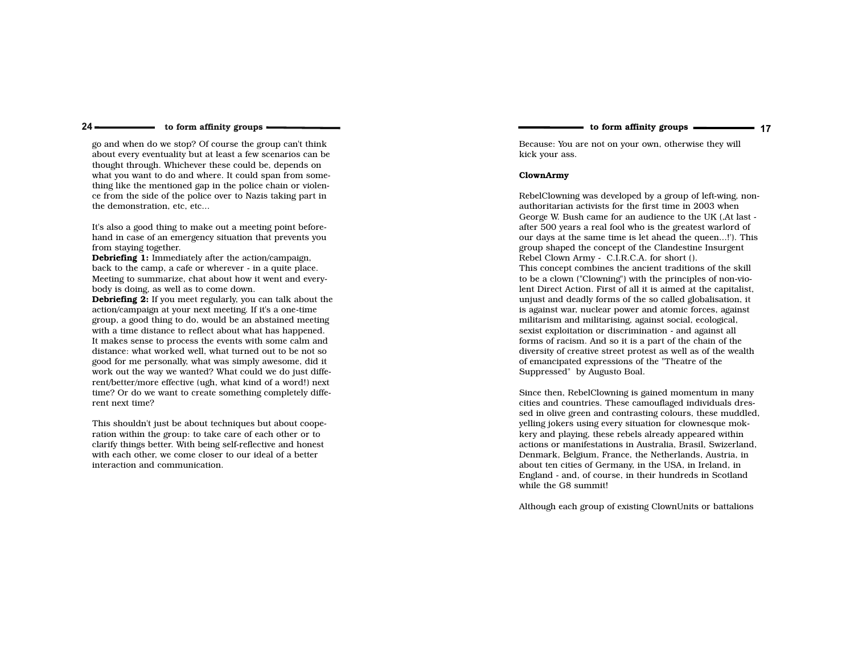to form affinity groups ———————————————————— 17

# to form affinity groups

go and when do we stop? Of course the group can't think about every eventuality but at least a few scenarios can bethought through. Whichever these could be, depends on what you want to do and where. It could span from something like the mentioned gap in the police chain or violence from the side of the police over to Nazis taking part inthe demonstration, etc, etc...

 $24 -$ 

It's also a good thing to make out a meeting point beforehand in case of an emergency situation that prevents youfrom staying together.

Debriefing 1: Immediately after the action/campaign, back to the camp, a cafe or wherever - in a quite place. Meeting to summarize, chat about how it went and everybody is doing, as well as to come down.

Debriefing 2: If you meet regularly, you can talk about the action/campaign at your next meeting. If it's a one-time group, a good thing to do, would be an abstained meeting with a time distance to reflect about what has happened. It makes sense to process the events with some calm and distance: what worked well, what turned out to be not so good for me personally, what was simply awesome, did it work out the way we wanted? What could we do just diffe rent/better/more effective (ugh, what kind of a word!) next time? Or do we want to create something completely different next time?

This shouldn't just be about techniques but about cooperation within the group: to take care of each other or to clarify things better. With being self-reflective and honestwith each other, we come closer to our ideal of a betterinteraction and communication.

Because: You are not on your own, otherwise they willkick your ass.

#### ClownArmy

RebelClowning was developed by a group of left-wing, nonauthoritarian activists for the first time in 2003 whenGeorge W. Bush came for an audience to the UK (,At last after 500 years a real fool who is the greatest warlord of our days at the same time is let ahead the queen...!'). Thisgroup shaped the concept of the Clandestine InsurgentRebel Clown Army - C.I.R.C.A. for short (). This concept combines the ancient traditions of the skill to be a clown ("Clowning") with the principles of non-violent Direct Action. First of all it is aimed at the capitalist, unjust and deadly forms of the so called globalisation, it is against war, nuclear power and atomic forces, againstmilitarism and militarising, against social, ecological, sexist exploitation or discrimination - and against all forms of racism. And so it is a part of the chain of the diversity of creative street protest as well as of the wealthof emancipated expressions of the "Theatre of theSuppressed" by Augusto Boal.

Since then, RebelClowning is gained momentum in many cities and countries. These camouflaged individuals dressed in olive green and contrasting colours, these muddled,yelling jokers using every situation for clownesque mokkery and playing, these rebels already appeared within actions or manifestations in Australia, Brasil, Swizerland,Denmark, Belgium, France, the Netherlands, Austria, inabout ten cities of Germany, in the USA, in Ireland, in England - and, of course, in their hundreds in Scotlandwhile the G8 summit!

Although each group of existing ClownUnits or battalions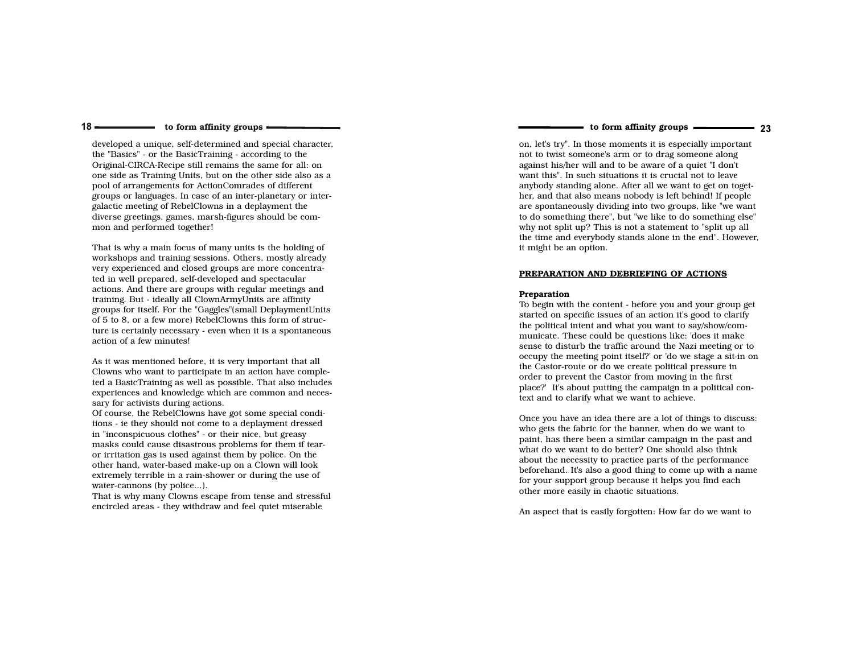$18 -$ 

developed a unique, self-determined and special character,the "Basics" - or the BasicTraining - according to the Original-CIRCA-Recipe still remains the same for all: on one side as Training Units, but on the other side also as apool of arrangements for ActionComrades of different groups or languages. In case of an inter-planetary or intergalactic meeting of RebelClowns in a deplayment the diverse greetings, games, marsh-figures should be common and performed together!

That is why a main focus of many units is the holding of workshops and training sessions. Others, mostly already very experienced and closed groups are more concentrated in well prepared, self-developed and spectacular actions. And there are groups with regular meetings andtraining. But - ideally all ClownArmyUnits are affinity groups for itself. For the "Gaggles"(small DeplaymentUnits of 5 to 8, or a few more) RebelClowns this form of structure is certainly necessary - even when it is a spontaneousaction of a few minutes!

As it was mentioned before, it is very important that all Clowns who want to participate in an action have completed a BasicTraining as well as possible. That also includes experiences and knowledge which are common and necessary for activists during actions.

 Of course, the RebelClowns have got some special conditions - ie they should not come to a deplayment dressedin "inconspicuous clothes" - or their nice, but greasy masks could cause disastrous problems for them if tearor irritation gas is used against them by police. On the other hand, water-based make-up on a Clown will look extremely terrible in a rain-shower or during the use ofwater-cannons (by police...).

 That is why many Clowns escape from tense and stressfulencircled areas - they withdraw and feel quiet miserable

## to form affinity groups ———————————————————— 23

on, let's try". In those moments it is especially importantnot to twist someone's arm or to drag someone along against his/her will and to be aware of a quiet "I don't want this". In such situations it is crucial not to leave anybody standing alone. After all we want to get on toget her, and that also means nobody is left behind! If people are spontaneously dividing into two groups, like "we want to do something there", but "we like to do something else"why not split up? This is not a statement to "split up all the time and everybody stands alone in the end". However,it might be an option.

#### PREPARATION AND DEBRIEFING OF ACTIONS

#### Preparation

 To begin with the content - before you and your group getstarted on specific issues of an action it's good to clarify the political intent and what you want to say/show/communicate. These could be questions like: 'does it make sense to disturb the traffic around the Nazi meeting or to occupy the meeting point itself?' or 'do we stage a sit-in onthe Castor-route or do we create political pressure in order to prevent the Castor from moving in the first place?' It's about putting the campaign in a political context and to clarify what we want to achieve.

Once you have an idea there are a lot of things to discuss:who gets the fabric for the banner, when do we want to paint, has there been a similar campaign in the past andwhat do we want to do better? One should also think about the necessity to practice parts of the performance beforehand. It's also a good thing to come up with a namefor your support group because it helps you find eachother more easily in chaotic situations.

An aspect that is easily forgotten: How far do we want to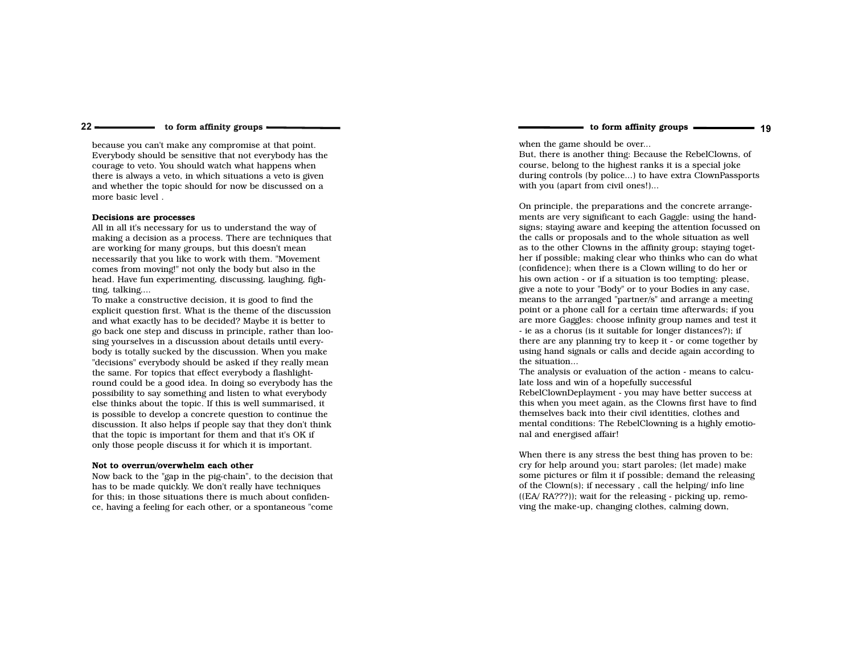to form affinity groups ———————————————————— 19

#### to form affinity groups

because you can't make any compromise at that point. Everybody should be sensitive that not everybody has thecourage to veto. You should watch what happens when there is always a veto, in which situations a veto is given and whether the topic should for now be discussed on amore basic level .

#### Decisions are processes

 $22 -$ 

 All in all it's necessary for us to understand the way of making a decision as a process. There are techniques thatare working for many groups, but this doesn't mean necessarily that you like to work with them. "Movement comes from moving!" not only the body but also in the head. Have fun experimenting, discussing, laughing, fighting, talking....

 To make a constructive decision, it is good to find the explicit question first. What is the theme of the discussion and what exactly has to be decided? Maybe it is better to go back one step and discuss in principle, rather than loosing yourselves in a discussion about details until everybody is totally sucked by the discussion. When you make "decisions" everybody should be asked if they really meanthe same. For topics that effect everybody a flashlightround could be a good idea. In doing so everybody has the possibility to say something and listen to what everybody else thinks about the topic. If this is well summarised, it is possible to develop a concrete question to continue the discussion. It also helps if people say that they don't thinkthat the topic is important for them and that it's OK ifonly those people discuss it for which it is important.

#### Not to overrun/overwhelm each other

 Now back to the "gap in the pig-chain", to the decision thathas to be made quickly. We don't really have techniques for this; in those situations there is much about confidence, having a feeling for each other, or a spontaneous "come when the game should be over...

 But, there is another thing: Because the RebelClowns, ofcourse, belong to the highest ranks it is a special joke during controls (by police...) to have extra ClownPassportswith you (apart from civil ones!)...

On principle, the preparations and the concrete arrange ments are very significant to each Gaggle: using the handsigns; staying aware and keeping the attention focussed on the calls or proposals and to the whole situation as well as to the other Clowns in the affinity group; staying together if possible; making clear who thinks who can do what(confidence); when there is a Clown willing to do her or his own action - or if a situation is too tempting: please, give a note to your "Body" or to your Bodies in any case, means to the arranged "partner/s" and arrange a meeting point or a phone call for a certain time afterwards; if you are more Gaggles: choose infinity group names and test it- ie as a chorus (is it suitable for longer distances?); if there are any planning try to keep it - or come together by using hand signals or calls and decide again according tothe situation...

 The analysis or evaluation of the action - means to calculate loss and win of a hopefully successful RebelClownDeplayment - you may have better success at this when you meet again, as the Clowns first have to findthemselves back into their civil identities, clothes and mental conditions: The RebelClowning is a highly emotional and energised affair!

When there is any stress the best thing has proven to be:cry for help around you; start paroles; (let made) make some pictures or film it if possible; demand the releasingof the Clown(s); if necessary , call the helping/ info line ((EA/ RA???)); wait for the releasing - picking up, removing the make-up, changing clothes, calming down,